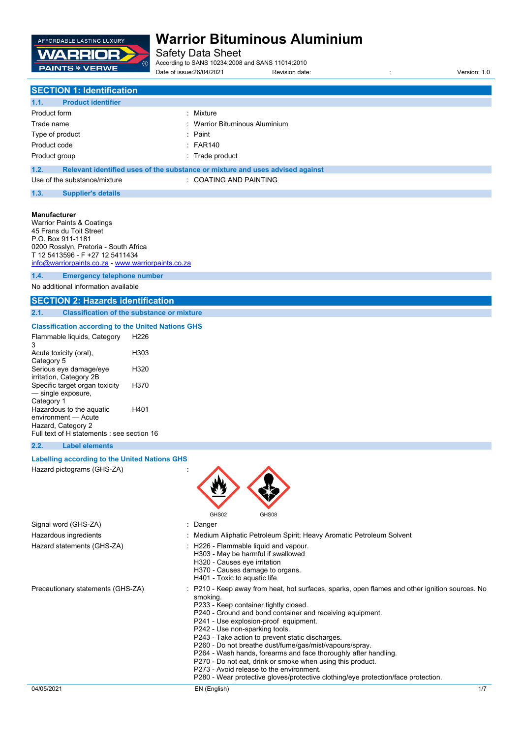

Safety Data Sheet

According to SANS 10234:2008 and SANS 11014:2010 Date of issue:26/04/2021 Revision date: : Version: 1.0

# **SECTION 1: Identification**

| 1.1.<br><b>Product identifier</b> |                                                                               |
|-----------------------------------|-------------------------------------------------------------------------------|
| Product form                      | : Mixture                                                                     |
| Trade name                        | : Warrior Bituminous Aluminium                                                |
| Type of product                   | $:$ Paint                                                                     |
| Product code                      | $\therefore$ FAR140                                                           |
| Product group                     | : Trade product                                                               |
| 1.2.                              | Relevant identified uses of the substance or mixture and uses advised against |

| <b>COATING AND PAINTING</b> |
|-----------------------------|
|-----------------------------|

#### **1.3. Supplier's details**

#### **Manufacturer**

Warrior Paints & Coatings 45 Frans du Toit Street P.O. Box 911-1181 0200 Rosslyn, Pretoria - South Africa T 12 5413596 - F +27 12 5411434 [info@warriorpaints.co.za](mailto:info@warriorpaints.co.za) - <www.warriorpaints.co.za> **1.4. Emergency telephone number**

No additional information available

### **SECTION 2: Hazards identification**

**2.1. Classification of the substance or mixture**

#### **Classification according to the United Nations GHS**

| Flammable liquids, Category<br>3           | H226 |
|--------------------------------------------|------|
| Acute toxicity (oral),                     | H303 |
| Category 5                                 |      |
| Serious eye damage/eye                     | H320 |
| irritation, Category 2B                    |      |
| Specific target organ toxicity             | H370 |
| - single exposure,                         |      |
| Category 1                                 |      |
| Hazardous to the aquatic                   | H401 |
| environment - Acute                        |      |
| Hazard, Category 2                         |      |
| Full text of H statements : see section 16 |      |

#### **2.2. Label elements**

### **Labelling according to the United Nations GHS**

Hazard pictograms (GHS-ZA) :



Signal word (GHS-ZA) : Danger Hazardous ingredients : Medium Aliphatic Petroleum Spirit; Heavy Aromatic Petroleum Solvent Hazard statements (GHS-ZA) : H226 - Flammable liquid and vapour. H303 - May be harmful if swallowed H320 - Causes eye irritation H370 - Causes damage to organs. H401 - Toxic to aquatic life Precautionary statements (GHS-ZA) : P210 - Keep away from heat, hot surfaces, sparks, open flames and other ignition sources. No smoking. P233 - Keep container tightly closed. P240 - Ground and bond container and receiving equipment. P241 - Use explosion-proof equipment. P242 - Use non-sparking tools. P243 - Take action to prevent static discharges. P260 - Do not breathe dust/fume/gas/mist/vapours/spray. P264 - Wash hands, forearms and face thoroughly after handling. P270 - Do not eat, drink or smoke when using this product.

P273 - Avoid release to the environment.

P280 - Wear protective gloves/protective clothing/eye protection/face protection.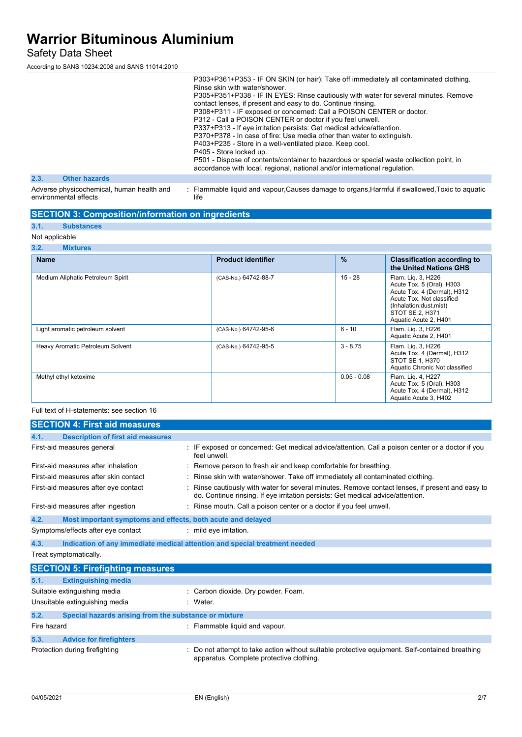Safety Data Sheet

According to SANS 10234:2008 and SANS 11014:2010

|      |                                                                    | P303+P361+P353 - IF ON SKIN (or hair): Take off immediately all contaminated clothing.<br>Rinse skin with water/shower.<br>P305+P351+P338 - IF IN EYES: Rinse cautiously with water for several minutes. Remove<br>contact lenses, if present and easy to do. Continue rinsing.<br>P308+P311 - IF exposed or concerned: Call a POISON CENTER or doctor.<br>P312 - Call a POISON CENTER or doctor if you feel unwell.<br>P337+P313 - If eye irritation persists: Get medical advice/attention.<br>P370+P378 - In case of fire: Use media other than water to extinguish.<br>P403+P235 - Store in a well-ventilated place. Keep cool.<br>P405 - Store locked up.<br>P501 - Dispose of contents/container to hazardous or special waste collection point, in<br>accordance with local, regional, national and/or international regulation. |
|------|--------------------------------------------------------------------|-----------------------------------------------------------------------------------------------------------------------------------------------------------------------------------------------------------------------------------------------------------------------------------------------------------------------------------------------------------------------------------------------------------------------------------------------------------------------------------------------------------------------------------------------------------------------------------------------------------------------------------------------------------------------------------------------------------------------------------------------------------------------------------------------------------------------------------------|
| 2.3. | <b>Other hazards</b>                                               |                                                                                                                                                                                                                                                                                                                                                                                                                                                                                                                                                                                                                                                                                                                                                                                                                                         |
|      | Adverse physicochemical, human health and<br>environmental effects | : Flammable liquid and vapour, Causes damage to organs, Harmful if swallowed, Toxic to aquatic<br>life                                                                                                                                                                                                                                                                                                                                                                                                                                                                                                                                                                                                                                                                                                                                  |

### **SECTION 3: Composition/information on ingredients**

### **3.1. Substances**

environmental effects

#### Not applicable<br>3.2. Mixt **3.2. Mixtures**

| <b>Name</b>                       | <b>Product identifier</b> | $\%$          | <b>Classification according to</b><br>the United Nations GHS                                                                                                                      |
|-----------------------------------|---------------------------|---------------|-----------------------------------------------------------------------------------------------------------------------------------------------------------------------------------|
| Medium Aliphatic Petroleum Spirit | (CAS-No.) 64742-88-7      | $15 - 28$     | Flam. Lig. 3, H226<br>Acute Tox. 5 (Oral), H303<br>Acute Tox. 4 (Dermal), H312<br>Acute Tox. Not classified<br>(Inhalation:dust,mist)<br>STOT SE 2, H371<br>Aquatic Acute 2, H401 |
| Light aromatic petroleum solvent  | (CAS-No.) 64742-95-6      | $6 - 10$      | Flam. Lig. 3, H226<br>Aquatic Acute 2, H401                                                                                                                                       |
| Heavy Aromatic Petroleum Solvent  | (CAS-No.) 64742-95-5      | $3 - 8.75$    | Flam. Lig. 3, H226<br>Acute Tox. 4 (Dermal), H312<br>STOT SE 1, H370<br>Aquatic Chronic Not classified                                                                            |
| Methyl ethyl ketoxime             |                           | $0.05 - 0.08$ | Flam. Lig. 4, H227<br>Acute Tox. 5 (Oral), H303<br>Acute Tox. 4 (Dermal), H312<br>Aquatic Acute 3, H402                                                                           |

Full text of H-statements: see section 16

|             | <b>SECTION 4: First aid measures</b>                        |                                                                                                                                                                                   |
|-------------|-------------------------------------------------------------|-----------------------------------------------------------------------------------------------------------------------------------------------------------------------------------|
| 4.1.        | <b>Description of first aid measures</b>                    |                                                                                                                                                                                   |
|             | First-aid measures general                                  | IF exposed or concerned: Get medical advice/attention. Call a poison center or a doctor if you<br>feel unwell.                                                                    |
|             | First-aid measures after inhalation                         | Remove person to fresh air and keep comfortable for breathing.                                                                                                                    |
|             | First-aid measures after skin contact                       | Rinse skin with water/shower. Take off immediately all contaminated clothing.                                                                                                     |
|             | First-aid measures after eye contact                        | Rinse cautiously with water for several minutes. Remove contact lenses, if present and easy to<br>do. Continue rinsing. If eye irritation persists: Get medical advice/attention. |
|             | First-aid measures after ingestion                          | Rinse mouth. Call a poison center or a doctor if you feel unwell.                                                                                                                 |
| 4.2.        | Most important symptoms and effects, both acute and delayed |                                                                                                                                                                                   |
|             | Symptoms/effects after eye contact                          | : mild eye irritation.                                                                                                                                                            |
| 4.3.        |                                                             | Indication of any immediate medical attention and special treatment needed                                                                                                        |
|             | Treat symptomatically.                                      |                                                                                                                                                                                   |
|             | <b>SECTION 5: Firefighting measures</b>                     |                                                                                                                                                                                   |
| 5.1.        | <b>Extinguishing media</b>                                  |                                                                                                                                                                                   |
|             | Suitable extinguishing media                                | Carbon dioxide. Dry powder. Foam.                                                                                                                                                 |
|             | Unsuitable extinguishing media                              | Water.                                                                                                                                                                            |
| 5.2.        | Special hazards arising from the substance or mixture       |                                                                                                                                                                                   |
| Fire hazard |                                                             | : Flammable liquid and vapour.                                                                                                                                                    |
| 5.3.        | <b>Advice for firefighters</b>                              |                                                                                                                                                                                   |
|             | Protection during firefighting                              | Do not attempt to take action without suitable protective equipment. Self-contained breathing<br>apparatus. Complete protective clothing.                                         |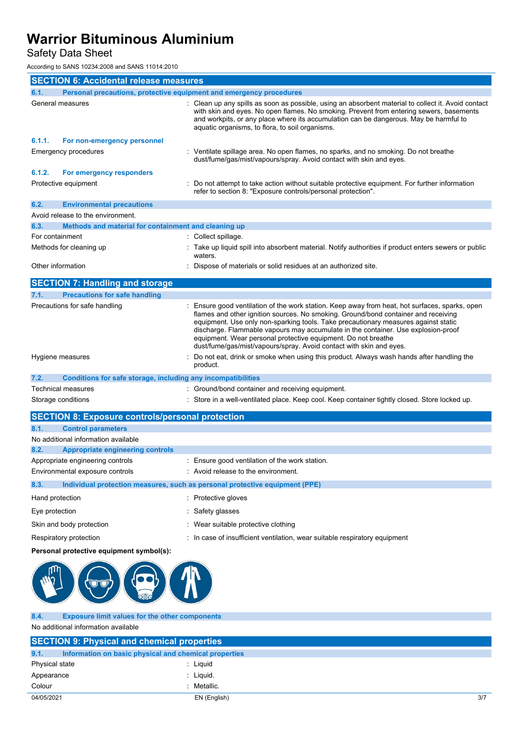Safety Data Sheet

According to SANS 10234:2008 and SANS 11014:2010

| <b>SECTION 6: Accidental release measures</b>                               |                                                              |                                                                                                                                                                                                                                                                                                                                                                                                                                                                                                       |
|-----------------------------------------------------------------------------|--------------------------------------------------------------|-------------------------------------------------------------------------------------------------------------------------------------------------------------------------------------------------------------------------------------------------------------------------------------------------------------------------------------------------------------------------------------------------------------------------------------------------------------------------------------------------------|
| 6.1.<br>Personal precautions, protective equipment and emergency procedures |                                                              |                                                                                                                                                                                                                                                                                                                                                                                                                                                                                                       |
| General measures                                                            |                                                              | : Clean up any spills as soon as possible, using an absorbent material to collect it. Avoid contact<br>with skin and eyes. No open flames. No smoking. Prevent from entering sewers, basements<br>and workpits, or any place where its accumulation can be dangerous. May be harmful to<br>aquatic organisms, to flora, to soil organisms.                                                                                                                                                            |
| 6.1.1.                                                                      | For non-emergency personnel                                  |                                                                                                                                                                                                                                                                                                                                                                                                                                                                                                       |
| <b>Emergency procedures</b>                                                 |                                                              | : Ventilate spillage area. No open flames, no sparks, and no smoking. Do not breathe<br>dust/fume/gas/mist/vapours/spray. Avoid contact with skin and eyes.                                                                                                                                                                                                                                                                                                                                           |
| 6.1.2.                                                                      | For emergency responders                                     |                                                                                                                                                                                                                                                                                                                                                                                                                                                                                                       |
| Protective equipment                                                        |                                                              | : Do not attempt to take action without suitable protective equipment. For further information<br>refer to section 8: "Exposure controls/personal protection".                                                                                                                                                                                                                                                                                                                                        |
| 6.2.                                                                        | <b>Environmental precautions</b>                             |                                                                                                                                                                                                                                                                                                                                                                                                                                                                                                       |
| Avoid release to the environment.                                           |                                                              |                                                                                                                                                                                                                                                                                                                                                                                                                                                                                                       |
| 6.3.                                                                        | Methods and material for containment and cleaning up         |                                                                                                                                                                                                                                                                                                                                                                                                                                                                                                       |
| For containment                                                             |                                                              | : Collect spillage.                                                                                                                                                                                                                                                                                                                                                                                                                                                                                   |
| Methods for cleaning up                                                     |                                                              | : Take up liquid spill into absorbent material. Notify authorities if product enters sewers or public<br>waters.                                                                                                                                                                                                                                                                                                                                                                                      |
| Other information                                                           |                                                              | Dispose of materials or solid residues at an authorized site.                                                                                                                                                                                                                                                                                                                                                                                                                                         |
| <b>SECTION 7: Handling and storage</b>                                      |                                                              |                                                                                                                                                                                                                                                                                                                                                                                                                                                                                                       |
| 7.1.                                                                        | <b>Precautions for safe handling</b>                         |                                                                                                                                                                                                                                                                                                                                                                                                                                                                                                       |
| Precautions for safe handling                                               |                                                              | Ensure good ventilation of the work station. Keep away from heat, hot surfaces, sparks, open<br>flames and other ignition sources. No smoking. Ground/bond container and receiving<br>equipment. Use only non-sparking tools. Take precautionary measures against static<br>discharge. Flammable vapours may accumulate in the container. Use explosion-proof<br>equipment. Wear personal protective equipment. Do not breathe<br>dust/fume/gas/mist/vapours/spray. Avoid contact with skin and eyes. |
| Hygiene measures                                                            |                                                              | Do not eat, drink or smoke when using this product. Always wash hands after handling the<br>product.                                                                                                                                                                                                                                                                                                                                                                                                  |
| 7.2.                                                                        | Conditions for safe storage, including any incompatibilities |                                                                                                                                                                                                                                                                                                                                                                                                                                                                                                       |
| <b>Technical measures</b>                                                   |                                                              | : Ground/bond container and receiving equipment.                                                                                                                                                                                                                                                                                                                                                                                                                                                      |
| Storage conditions                                                          |                                                              | : Store in a well-ventilated place. Keep cool. Keep container tightly closed. Store locked up.                                                                                                                                                                                                                                                                                                                                                                                                        |

|                 | <b>SECTION 8: Exposure controls/personal protection</b> |                                                                             |
|-----------------|---------------------------------------------------------|-----------------------------------------------------------------------------|
| 8.1.            | <b>Control parameters</b>                               |                                                                             |
|                 | No additional information available                     |                                                                             |
| 8.2.            | <b>Appropriate engineering controls</b>                 |                                                                             |
|                 | Appropriate engineering controls                        | : Ensure good ventilation of the work station.                              |
|                 | Environmental exposure controls                         | : Avoid release to the environment.                                         |
| 8.3.            |                                                         | Individual protection measures, such as personal protective equipment (PPE) |
| Hand protection |                                                         | : Protective gloves                                                         |
| Eye protection  |                                                         | Safety glasses                                                              |
|                 | Skin and body protection                                | : Wear suitable protective clothing                                         |
|                 | Respiratory protection                                  | : In case of insufficient ventilation, wear suitable respiratory equipment  |

### **Personal protective equipment symbol(s):**



**8.4. Exposure limit values for the other components** No additional information available

| <b>SECTION 9: Physical and chemical properties</b>            |              |     |
|---------------------------------------------------------------|--------------|-----|
| 9.1.<br>Information on basic physical and chemical properties |              |     |
| Physical state                                                | : Liquid     |     |
| Appearance                                                    | : Liguid.    |     |
| Colour                                                        | Metallic.    |     |
| 04/05/2021                                                    | EN (English) | 3/7 |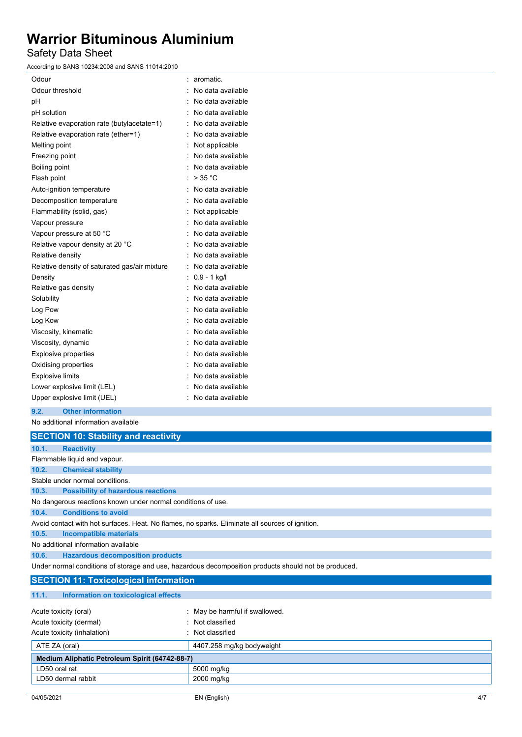Safety Data Sheet

According to SANS 10234:2008 and SANS 11014:2010

| Odour                                         | ۰ | aromatic.         |
|-----------------------------------------------|---|-------------------|
| Odour threshold                               |   | No data available |
| рH                                            |   | No data available |
| pH solution                                   |   | No data available |
| Relative evaporation rate (butylacetate=1)    |   | No data available |
| Relative evaporation rate (ether=1)           |   | No data available |
| Melting point                                 | ÷ | Not applicable    |
| Freezing point                                |   | No data available |
| Boiling point                                 |   | No data available |
| Flash point                                   |   | > 35 °C           |
| Auto-ignition temperature                     |   | No data available |
| Decomposition temperature                     |   | No data available |
| Flammability (solid, gas)                     |   | Not applicable    |
| Vapour pressure                               |   | No data available |
| Vapour pressure at 50 °C                      |   | No data available |
| Relative vapour density at 20 °C              |   | No data available |
| Relative density                              |   | No data available |
| Relative density of saturated gas/air mixture |   | No data available |
| Density                                       | ÷ | $0.9 - 1$ kg/l    |
| Relative gas density                          |   | No data available |
| Solubility                                    |   | No data available |
| Log Pow                                       |   | No data available |
| Log Kow                                       |   | No data available |
| Viscosity, kinematic                          |   | No data available |
| Viscosity, dynamic                            |   | No data available |
| <b>Explosive properties</b>                   |   | No data available |
| Oxidising properties                          |   | No data available |
| <b>Explosive limits</b>                       |   | No data available |
| Lower explosive limit (LEL)                   |   | No data available |
| Upper explosive limit (UEL)                   |   | No data available |

**9.2. Other information**

No additional information available

|       | <b>SECTION 10: Stability and reactivity</b>                                                          |  |  |  |
|-------|------------------------------------------------------------------------------------------------------|--|--|--|
| 10.1. | <b>Reactivity</b>                                                                                    |  |  |  |
|       | Flammable liquid and vapour.                                                                         |  |  |  |
| 10.2. | <b>Chemical stability</b>                                                                            |  |  |  |
|       | Stable under normal conditions.                                                                      |  |  |  |
| 10.3. | <b>Possibility of hazardous reactions</b>                                                            |  |  |  |
|       | No dangerous reactions known under normal conditions of use.                                         |  |  |  |
| 10.4. | <b>Conditions to avoid</b>                                                                           |  |  |  |
|       | Avoid contact with hot surfaces. Heat. No flames, no sparks. Eliminate all sources of ignition.      |  |  |  |
| 10.5. | Incompatible materials                                                                               |  |  |  |
|       | No additional information available                                                                  |  |  |  |
| 10.6. | <b>Hazardous decomposition products</b>                                                              |  |  |  |
|       | Under normal conditions of storage and use, hazardous decomposition products should not be produced. |  |  |  |

### **SECTION 11: Toxicological information**

| 11.1.<br>Information on toxicological effects  |                                |
|------------------------------------------------|--------------------------------|
|                                                |                                |
| Acute toxicity (oral)                          | : May be harmful if swallowed. |
| Acute toxicity (dermal)                        | : Not classified               |
| Acute toxicity (inhalation)                    | : Not classified               |
| ATE ZA (oral)                                  | 4407.258 mg/kg bodyweight      |
| Medium Aliphatic Petroleum Spirit (64742-88-7) |                                |
| LD50 oral rat                                  | 5000 mg/kg                     |
| LD50 dermal rabbit                             | 2000 mg/kg                     |
|                                                |                                |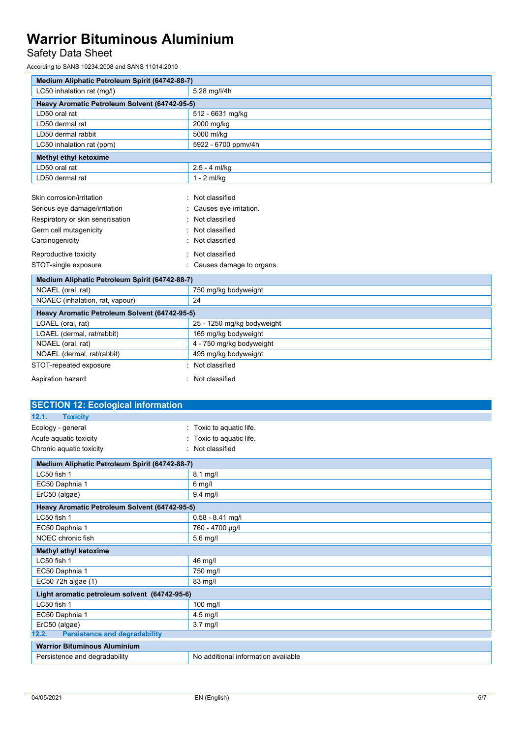# Safety Data Sheet

According to SANS 10234:2008 and SANS 11014:2010

| Medium Aliphatic Petroleum Spirit (64742-88-7) |                            |  |
|------------------------------------------------|----------------------------|--|
| LC50 inhalation rat (mg/l)                     | 5.28 mg/l/4h               |  |
| Heavy Aromatic Petroleum Solvent (64742-95-5)  |                            |  |
| LD50 oral rat                                  | 512 - 6631 mg/kg           |  |
| LD50 dermal rat                                | 2000 mg/kg                 |  |
| LD50 dermal rabbit                             | 5000 ml/kg                 |  |
| LC50 inhalation rat (ppm)                      | 5922 - 6700 ppmv/4h        |  |
| Methyl ethyl ketoxime                          |                            |  |
| LD50 oral rat                                  | $2.5 - 4$ ml/kg            |  |
| LD50 dermal rat                                | $1 - 2$ ml/kg              |  |
|                                                |                            |  |
| Skin corrosion/irritation                      | Not classified             |  |
| Serious eye damage/irritation                  | Causes eye irritation.     |  |
| Respiratory or skin sensitisation              | Not classified             |  |
| Germ cell mutagenicity                         | Not classified             |  |
| Carcinogenicity                                | Not classified             |  |
| Reproductive toxicity<br>Not classified        |                            |  |
| STOT-single exposure                           | Causes damage to organs.   |  |
| Medium Aliphatic Petroleum Spirit (64742-88-7) |                            |  |
| NOAEL (oral, rat)                              | 750 mg/kg bodyweight       |  |
| NOAEC (inhalation, rat, vapour)                | 24                         |  |
| Heavy Aromatic Petroleum Solvent (64742-95-5)  |                            |  |
| LOAEL (oral, rat)                              | 25 - 1250 mg/kg bodyweight |  |
| LOAEL (dermal, rat/rabbit)                     | 165 mg/kg bodyweight       |  |
| NOAEL (oral, rat)                              | 4 - 750 mg/kg bodyweight   |  |
| NOAEL (dermal, rat/rabbit)                     | 495 mg/kg bodyweight       |  |
| STOT-repeated exposure                         | Not classified             |  |
| Aspiration hazard                              | : Not classified           |  |

| <b>SECTION 12: Ecological information</b>                                                                          |                          |  |  |
|--------------------------------------------------------------------------------------------------------------------|--------------------------|--|--|
| 12.1.<br><b>Toxicity</b>                                                                                           |                          |  |  |
| Ecology - general                                                                                                  | Toxic to aquatic life    |  |  |
| Acute aquatic toxicity                                                                                             | : Toxic to aquatic life. |  |  |
| Chronic aquatic toxicity<br>: Not classified                                                                       |                          |  |  |
| Medium Aliphatic Petroleum Spirit (64742-88-7)                                                                     |                          |  |  |
| LC50 fish 1                                                                                                        | $8.1$ mg/l               |  |  |
| EC50 Daphnia 1                                                                                                     | $6$ mg/l                 |  |  |
| ErC50 (algae)                                                                                                      | $9.4$ mg/l               |  |  |
| $\mathbf{r}$ and $\mathbf{r}$ and $\mathbf{r}$ and $\mathbf{r}$ and $\mathbf{r}$ and $\mathbf{r}$ and $\mathbf{r}$ |                          |  |  |

| Heavy Aromatic Petroleum Solvent (64742-95-5)                        |                    |  |  |
|----------------------------------------------------------------------|--------------------|--|--|
| LC50 fish 1                                                          | $0.58 - 8.41$ mg/l |  |  |
| EC50 Daphnia 1                                                       | 760 - 4700 µg/l    |  |  |
| NOEC chronic fish                                                    | $5.6$ mg/l         |  |  |
| <b>Methyl ethyl ketoxime</b>                                         |                    |  |  |
| LC50 fish 1                                                          | 46 mg/l            |  |  |
| EC50 Daphnia 1                                                       | 750 mg/l           |  |  |
| EC50 72h algae (1)                                                   | 83 mg/l            |  |  |
| Light aromatic petroleum solvent (64742-95-6)                        |                    |  |  |
| LC50 fish 1                                                          | $100$ mg/l         |  |  |
| EC50 Daphnia 1                                                       | $4.5$ mg/l         |  |  |
| ErC50 (algae)                                                        | $3.7$ mg/l         |  |  |
| <b>Persistence and degradability</b><br>12.2.                        |                    |  |  |
| <b>Warrior Bituminous Aluminium</b>                                  |                    |  |  |
| No additional information available<br>Persistence and degradability |                    |  |  |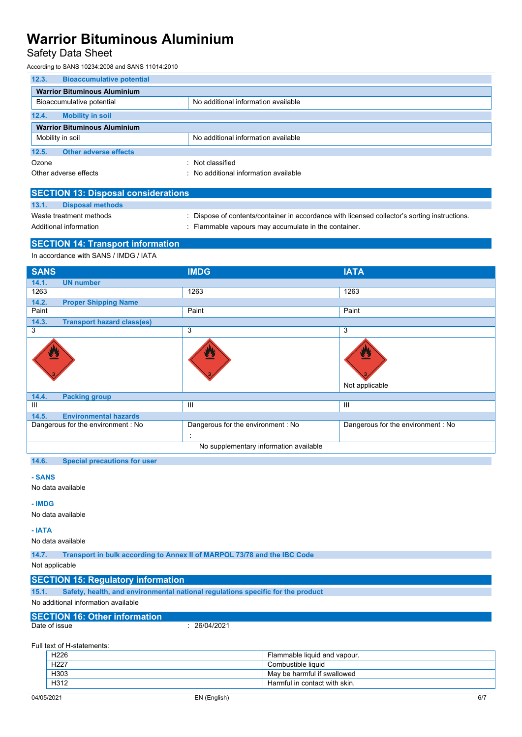### Safety Data Sheet

According to SANS 10234:2008 and SANS 11014:2010

| 12.3.                               | <b>Bioaccumulative potential</b> |                                     |  |
|-------------------------------------|----------------------------------|-------------------------------------|--|
| <b>Warrior Bituminous Aluminium</b> |                                  |                                     |  |
|                                     | Bioaccumulative potential        | No additional information available |  |
| 12.4.<br><b>Mobility in soil</b>    |                                  |                                     |  |
| <b>Warrior Bituminous Aluminium</b> |                                  |                                     |  |
| Mobility in soil                    |                                  | No additional information available |  |
| 12.5.                               | <b>Other adverse effects</b>     |                                     |  |
| Ozone                               | ۰                                | Not classified                      |  |
| Other adverse effects               |                                  | No additional information available |  |

| <b>SECTION 13: Disposal considerations</b> |                         |  |                                                                                               |  |
|--------------------------------------------|-------------------------|--|-----------------------------------------------------------------------------------------------|--|
| 13.1.                                      | <b>Disposal methods</b> |  |                                                                                               |  |
|                                            | Waste treatment methods |  | : Dispose of contents/container in accordance with licensed collector's sorting instructions. |  |
| Additional information                     |                         |  | . Flammable vapours may accumulate in the container.                                          |  |
|                                            |                         |  |                                                                                               |  |

### **SECTION 14: Transport information**

In accordance with SANS / IMDG / IATA

| <b>SANS</b>                                | <b>IMDG</b>                            | <b>IATA</b>                       |
|--------------------------------------------|----------------------------------------|-----------------------------------|
| 14.1.<br><b>UN number</b>                  |                                        |                                   |
| 1263                                       | 1263                                   | 1263                              |
| 14.2.<br><b>Proper Shipping Name</b>       |                                        |                                   |
| Paint                                      | Paint                                  | Paint                             |
| 14.3.<br><b>Transport hazard class(es)</b> |                                        |                                   |
| 3                                          | 3                                      | 3                                 |
| ፵                                          |                                        | $\bf v$<br>Not applicable         |
| 14.4.<br><b>Packing group</b>              |                                        |                                   |
| Ш                                          | Ш                                      | $\mathbf{III}$                    |
| 14.5.<br><b>Environmental hazards</b>      |                                        |                                   |
| Dangerous for the environment : No         | Dangerous for the environment : No     | Dangerous for the environment: No |
|                                            | ÷                                      |                                   |
|                                            | No supplementary information available |                                   |
|                                            |                                        |                                   |

**14.6. Special precautions for user**

#### **- SANS**

No data available

#### **- IMDG**

No data available

#### **- IATA**

No data available

**14.7. Transport in bulk according to Annex II of MARPOL 73/78 and the IBC Code**

#### Not applicable

### **SECTION 15: Regulatory information**

**15.1. Safety, health, and environmental national regulations specific for the product**

No additional information available

# **SECTION 16: Other information**

 $\frac{1}{26/04/2021}$ 

Full text of H-statements:

| H <sub>226</sub> | Flammable liquid and vapour.  |
|------------------|-------------------------------|
| H <sub>227</sub> | Combustible liquid            |
| H303             | May be harmful if swallowed   |
| H312             | Harmful in contact with skin. |
|                  |                               |